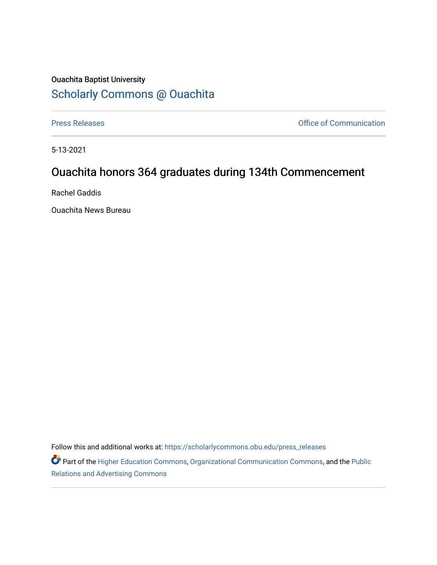## Ouachita Baptist University [Scholarly Commons @ Ouachita](https://scholarlycommons.obu.edu/)

[Press Releases](https://scholarlycommons.obu.edu/press_releases) **Press Releases Communication** 

5-13-2021

## Ouachita honors 364 graduates during 134th Commencement

Rachel Gaddis

Ouachita News Bureau

Follow this and additional works at: [https://scholarlycommons.obu.edu/press\\_releases](https://scholarlycommons.obu.edu/press_releases?utm_source=scholarlycommons.obu.edu%2Fpress_releases%2F820&utm_medium=PDF&utm_campaign=PDFCoverPages)

Part of the [Higher Education Commons,](http://network.bepress.com/hgg/discipline/1245?utm_source=scholarlycommons.obu.edu%2Fpress_releases%2F820&utm_medium=PDF&utm_campaign=PDFCoverPages) [Organizational Communication Commons,](http://network.bepress.com/hgg/discipline/335?utm_source=scholarlycommons.obu.edu%2Fpress_releases%2F820&utm_medium=PDF&utm_campaign=PDFCoverPages) and the [Public](http://network.bepress.com/hgg/discipline/336?utm_source=scholarlycommons.obu.edu%2Fpress_releases%2F820&utm_medium=PDF&utm_campaign=PDFCoverPages) [Relations and Advertising Commons](http://network.bepress.com/hgg/discipline/336?utm_source=scholarlycommons.obu.edu%2Fpress_releases%2F820&utm_medium=PDF&utm_campaign=PDFCoverPages)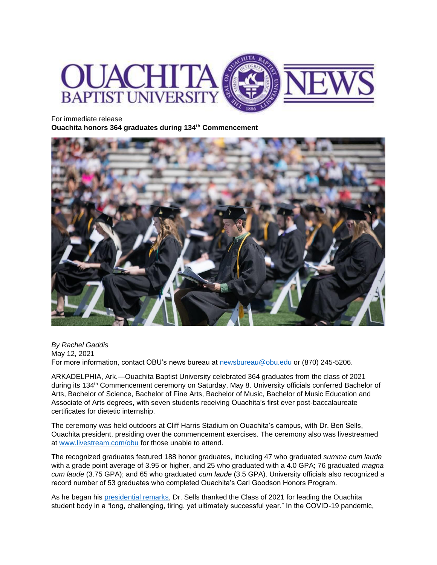

For immediate release **Ouachita honors 364 graduates during 134th Commencement**



*By Rachel Gaddis* May 12, 2021 For more information, contact OBU's news bureau at [newsbureau@obu.edu](mailto:newsbureau@obu.edu) or (870) 245-5206.

ARKADELPHIA, Ark.—Ouachita Baptist University celebrated 364 graduates from the class of 2021 during its 134<sup>th</sup> Commencement ceremony on Saturday, May 8. University officials conferred Bachelor of Arts, Bachelor of Science, Bachelor of Fine Arts, Bachelor of Music, Bachelor of Music Education and Associate of Arts degrees, with seven students receiving Ouachita's first ever post-baccalaureate certificates for dietetic internship.

The ceremony was held outdoors at Cliff Harris Stadium on Ouachita's campus, with Dr. Ben Sells, Ouachita president, presiding over the commencement exercises. The ceremony also was livestreamed at [www.livestream.com/obu](http://www.livestream.com/obu) for those unable to attend.

The recognized graduates featured 188 honor graduates, including 47 who graduated *summa cum laude* with a grade point average of 3.95 or higher, and 25 who graduated with a 4.0 GPA; 76 graduated *magna cum laude* (3.75 GPA); and 65 who graduated *cum laude* (3.5 GPA). University officials also recognized a record number of 53 graduates who completed Ouachita's Carl Goodson Honors Program.

As he began his [presidential remarks,](https://obu.edu/stories/blog/2021/05/progress-is-more-about-direction-than-speed-2021-commencement-address.php) Dr. Sells thanked the Class of 2021 for leading the Ouachita student body in a "long, challenging, tiring, yet ultimately successful year." In the COVID-19 pandemic,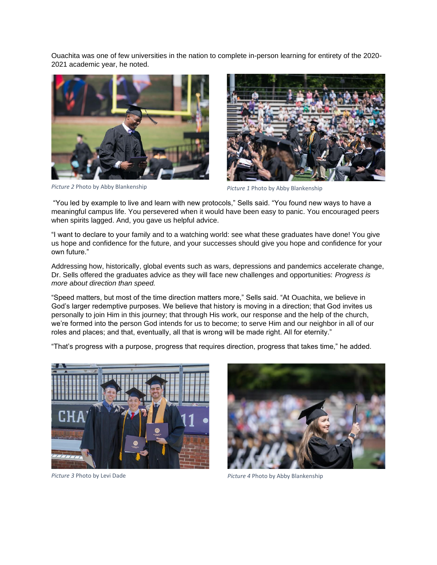Ouachita was one of few universities in the nation to complete in-person learning for entirety of the 2020- 2021 academic year, he noted.



*Picture 2* Photo by Abby Blankenship *Picture 1* Photo by Abby Blankenship



"You led by example to live and learn with new protocols," Sells said. "You found new ways to have a meaningful campus life. You persevered when it would have been easy to panic. You encouraged peers when spirits lagged. And, you gave us helpful advice.

"I want to declare to your family and to a watching world: see what these graduates have done! You give us hope and confidence for the future, and your successes should give you hope and confidence for your own future."

Addressing how, historically, global events such as wars, depressions and pandemics accelerate change, Dr. Sells offered the graduates advice as they will face new challenges and opportunities: *Progress is more about direction than speed.*

"Speed matters, but most of the time direction matters more," Sells said. "At Ouachita, we believe in God's larger redemptive purposes. We believe that history is moving in a direction; that God invites us personally to join Him in this journey; that through His work, our response and the help of the church, we're formed into the person God intends for us to become; to serve Him and our neighbor in all of our roles and places; and that, eventually, all that is wrong will be made right. All for eternity."

"That's progress with a purpose, progress that requires direction, progress that takes time," he added.





*Picture 3* Photo by Levi Dade *Picture 4* Photo by Abby Blankenship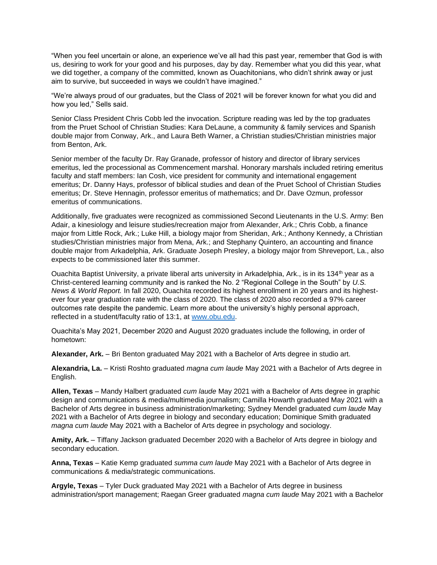"When you feel uncertain or alone, an experience we've all had this past year, remember that God is with us, desiring to work for your good and his purposes, day by day. Remember what you did this year, what we did together, a company of the committed, known as Ouachitonians, who didn't shrink away or just aim to survive, but succeeded in ways we couldn't have imagined."

"We're always proud of our graduates, but the Class of 2021 will be forever known for what you did and how you led," Sells said.

Senior Class President Chris Cobb led the invocation. Scripture reading was led by the top graduates from the Pruet School of Christian Studies: Kara DeLaune, a community & family services and Spanish double major from Conway, Ark., and Laura Beth Warner, a Christian studies/Christian ministries major from Benton, Ark.

Senior member of the faculty Dr. Ray Granade, professor of history and director of library services emeritus, led the processional as Commencement marshal. Honorary marshals included retiring emeritus faculty and staff members: Ian Cosh, vice president for community and international engagement emeritus; Dr. Danny Hays, professor of biblical studies and dean of the Pruet School of Christian Studies emeritus; Dr. Steve Hennagin, professor emeritus of mathematics; and Dr. Dave Ozmun, professor emeritus of communications.

Additionally, five graduates were recognized as commissioned Second Lieutenants in the U.S. Army: Ben Adair, a kinesiology and leisure studies/recreation major from Alexander, Ark.; Chris Cobb, a finance major from Little Rock, Ark.; Luke Hill, a biology major from Sheridan, Ark.; Anthony Kennedy, a Christian studies/Christian ministries major from Mena, Ark.; and Stephany Quintero, an accounting and finance double major from Arkadelphia, Ark. Graduate Joseph Presley, a biology major from Shreveport, La., also expects to be commissioned later this summer.

Ouachita Baptist University, a private liberal arts university in Arkadelphia, Ark., is in its 134<sup>th</sup> year as a Christ-centered learning community and is ranked the No. 2 "Regional College in the South" by *U.S. News & World Report.* In fall 2020, Ouachita recorded its highest enrollment in 20 years and its highestever four year graduation rate with the class of 2020. The class of 2020 also recorded a 97% career outcomes rate despite the pandemic. Learn more about the university's highly personal approach, reflected in a student/faculty ratio of 13:1, at [www.obu.edu.](http://www.obu.edu/)

Ouachita's May 2021, December 2020 and August 2020 graduates include the following, in order of hometown:

**Alexander, Ark.** – Bri Benton graduated May 2021 with a Bachelor of Arts degree in studio art.

**Alexandria, La.** – Kristi Roshto graduated *magna cum laude* May 2021 with a Bachelor of Arts degree in English.

**Allen, Texas** – Mandy Halbert graduated *cum laude* May 2021 with a Bachelor of Arts degree in graphic design and communications & media/multimedia journalism; Camilla Howarth graduated May 2021 with a Bachelor of Arts degree in business administration/marketing; Sydney Mendel graduated *cum laude* May 2021 with a Bachelor of Arts degree in biology and secondary education; Dominique Smith graduated *magna cum laude* May 2021 with a Bachelor of Arts degree in psychology and sociology.

**Amity, Ark.** – Tiffany Jackson graduated December 2020 with a Bachelor of Arts degree in biology and secondary education.

**Anna, Texas** – Katie Kemp graduated *summa cum laude* May 2021 with a Bachelor of Arts degree in communications & media/strategic communications.

**Argyle, Texas** – Tyler Duck graduated May 2021 with a Bachelor of Arts degree in business administration/sport management; Raegan Greer graduated *magna cum laude* May 2021 with a Bachelor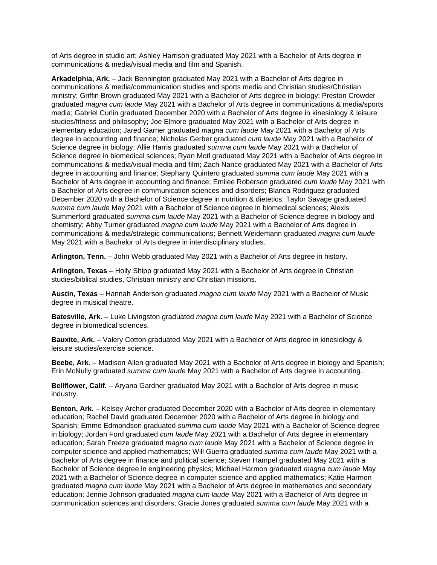of Arts degree in studio art; Ashley Harrison graduated May 2021 with a Bachelor of Arts degree in communications & media/visual media and film and Spanish.

**Arkadelphia, Ark.** – Jack Bennington graduated May 2021 with a Bachelor of Arts degree in communications & media/communication studies and sports media and Christian studies/Christian ministry; Griffin Brown graduated May 2021 with a Bachelor of Arts degree in biology; Preston Crowder graduated *magna cum laude* May 2021 with a Bachelor of Arts degree in communications & media/sports media; Gabriel Curlin graduated December 2020 with a Bachelor of Arts degree in kinesiology & leisure studies/fitness and philosophy; Joe Elmore graduated May 2021 with a Bachelor of Arts degree in elementary education; Jared Garner graduated *magna cum laude* May 2021 with a Bachelor of Arts degree in accounting and finance; Nicholas Gerber graduated *cum laude* May 2021 with a Bachelor of Science degree in biology; Allie Harris graduated *summa cum laude* May 2021 with a Bachelor of Science degree in biomedical sciences; Ryan Motl graduated May 2021 with a Bachelor of Arts degree in communications & media/visual media and film; Zach Nance graduated May 2021 with a Bachelor of Arts degree in accounting and finance; Stephany Quintero graduated *summa cum laude* May 2021 with a Bachelor of Arts degree in accounting and finance; Emilee Roberson graduated *cum laude* May 2021 with a Bachelor of Arts degree in communication sciences and disorders; Blanca Rodriguez graduated December 2020 with a Bachelor of Science degree in nutrition & dietetics; Taylor Savage graduated *summa cum laude* May 2021 with a Bachelor of Science degree in biomedical sciences; Alexis Summerford graduated *summa cum laude* May 2021 with a Bachelor of Science degree in biology and chemistry; Abby Turner graduated *magna cum laude* May 2021 with a Bachelor of Arts degree in communications & media/strategic communications; Bennett Weidemann graduated *magna cum laude* May 2021 with a Bachelor of Arts degree in interdisciplinary studies.

**Arlington, Tenn.** – John Webb graduated May 2021 with a Bachelor of Arts degree in history.

**Arlington, Texas** – Holly Shipp graduated May 2021 with a Bachelor of Arts degree in Christian studies/biblical studies, Christian ministry and Christian missions.

**Austin, Texas** – Hannah Anderson graduated *magna cum laude* May 2021 with a Bachelor of Music degree in musical theatre.

**Batesville, Ark.** – Luke Livingston graduated *magna cum laude* May 2021 with a Bachelor of Science degree in biomedical sciences.

**Bauxite, Ark.** – Valery Cotton graduated May 2021 with a Bachelor of Arts degree in kinesiology & leisure studies/exercise science.

**Beebe, Ark.** – Madison Allen graduated May 2021 with a Bachelor of Arts degree in biology and Spanish; Erin McNully graduated *summa cum laude* May 2021 with a Bachelor of Arts degree in accounting.

**Bellflower, Calif.** – Aryana Gardner graduated May 2021 with a Bachelor of Arts degree in music industry.

**Benton, Ark.** – Kelsey Archer graduated December 2020 with a Bachelor of Arts degree in elementary education; Rachel David graduated December 2020 with a Bachelor of Arts degree in biology and Spanish; Emme Edmondson graduated *summa cum laude* May 2021 with a Bachelor of Science degree in biology; Jordan Ford graduated *cum laude* May 2021 with a Bachelor of Arts degree in elementary education; Sarah Freeze graduated *magna cum laude* May 2021 with a Bachelor of Science degree in computer science and applied mathematics; Will Guerra graduated *summa cum laude* May 2021 with a Bachelor of Arts degree in finance and political science; Steven Hampel graduated May 2021 with a Bachelor of Science degree in engineering physics; Michael Harmon graduated *magna cum laude* May 2021 with a Bachelor of Science degree in computer science and applied mathematics; Katie Harmon graduated *magna cum laude* May 2021 with a Bachelor of Arts degree in mathematics and secondary education; Jennie Johnson graduated *magna cum laude* May 2021 with a Bachelor of Arts degree in communication sciences and disorders; Gracie Jones graduated *summa cum laude* May 2021 with a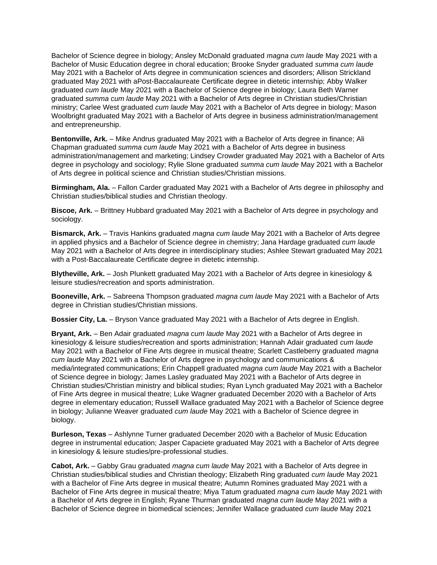Bachelor of Science degree in biology; Ansley McDonald graduated *magna cum laude* May 2021 with a Bachelor of Music Education degree in choral education; Brooke Snyder graduated *summa cum laude* May 2021 with a Bachelor of Arts degree in communication sciences and disorders; Allison Strickland graduated May 2021 with aPost-Baccalaureate Certificate degree in dietetic internship; Abby Walker graduated *cum laude* May 2021 with a Bachelor of Science degree in biology; Laura Beth Warner graduated *summa cum laude* May 2021 with a Bachelor of Arts degree in Christian studies/Christian ministry; Carlee West graduated *cum laude* May 2021 with a Bachelor of Arts degree in biology; Mason Woolbright graduated May 2021 with a Bachelor of Arts degree in business administration/management and entrepreneurship.

**Bentonville, Ark.** – Mike Andrus graduated May 2021 with a Bachelor of Arts degree in finance; Ali Chapman graduated *summa cum laude* May 2021 with a Bachelor of Arts degree in business administration/management and marketing; Lindsey Crowder graduated May 2021 with a Bachelor of Arts degree in psychology and sociology; Rylie Slone graduated *summa cum laude* May 2021 with a Bachelor of Arts degree in political science and Christian studies/Christian missions.

**Birmingham, Ala.** – Fallon Carder graduated May 2021 with a Bachelor of Arts degree in philosophy and Christian studies/biblical studies and Christian theology.

**Biscoe, Ark.** – Brittney Hubbard graduated May 2021 with a Bachelor of Arts degree in psychology and sociology.

**Bismarck, Ark.** – Travis Hankins graduated *magna cum laude* May 2021 with a Bachelor of Arts degree in applied physics and a Bachelor of Science degree in chemistry; Jana Hardage graduated *cum laude* May 2021 with a Bachelor of Arts degree in interdisciplinary studies; Ashlee Stewart graduated May 2021 with a Post-Baccalaureate Certificate degree in dietetic internship.

**Blytheville, Ark.** – Josh Plunkett graduated May 2021 with a Bachelor of Arts degree in kinesiology & leisure studies/recreation and sports administration.

**Booneville, Ark.** – Sabreena Thompson graduated *magna cum laude* May 2021 with a Bachelor of Arts degree in Christian studies/Christian missions.

**Bossier City, La.** – Bryson Vance graduated May 2021 with a Bachelor of Arts degree in English.

**Bryant, Ark.** – Ben Adair graduated *magna cum laude* May 2021 with a Bachelor of Arts degree in kinesiology & leisure studies/recreation and sports administration; Hannah Adair graduated *cum laude* May 2021 with a Bachelor of Fine Arts degree in musical theatre; Scarlett Castleberry graduated *magna cum laude* May 2021 with a Bachelor of Arts degree in psychology and communications & media/integrated communications; Erin Chappell graduated *magna cum laude* May 2021 with a Bachelor of Science degree in biology; James Lasley graduated May 2021 with a Bachelor of Arts degree in Christian studies/Christian ministry and biblical studies; Ryan Lynch graduated May 2021 with a Bachelor of Fine Arts degree in musical theatre; Luke Wagner graduated December 2020 with a Bachelor of Arts degree in elementary education; Russell Wallace graduated May 2021 with a Bachelor of Science degree in biology; Julianne Weaver graduated *cum laude* May 2021 with a Bachelor of Science degree in biology.

**Burleson, Texas** – Ashlynne Turner graduated December 2020 with a Bachelor of Music Education degree in instrumental education; Jasper Capaciete graduated May 2021 with a Bachelor of Arts degree in kinesiology & leisure studies/pre-professional studies.

**Cabot, Ark.** – Gabby Grau graduated *magna cum laude* May 2021 with a Bachelor of Arts degree in Christian studies/biblical studies and Christian theology; Elizabeth Ring graduated *cum laude* May 2021 with a Bachelor of Fine Arts degree in musical theatre; Autumn Romines graduated May 2021 with a Bachelor of Fine Arts degree in musical theatre; Miya Tatum graduated *magna cum laude* May 2021 with a Bachelor of Arts degree in English; Ryane Thurman graduated *magna cum laude* May 2021 with a Bachelor of Science degree in biomedical sciences; Jennifer Wallace graduated *cum laude* May 2021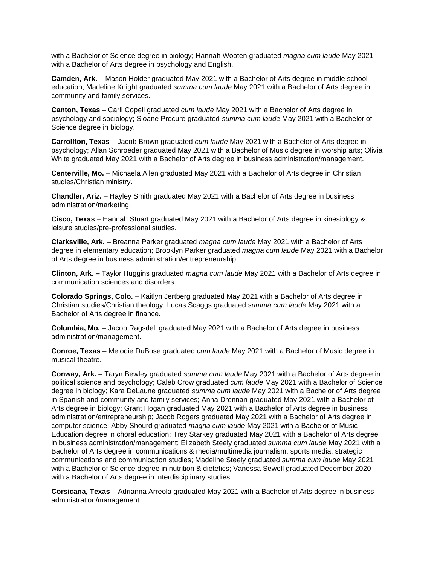with a Bachelor of Science degree in biology; Hannah Wooten graduated *magna cum laude* May 2021 with a Bachelor of Arts degree in psychology and English.

**Camden, Ark.** – Mason Holder graduated May 2021 with a Bachelor of Arts degree in middle school education; Madeline Knight graduated *summa cum laude* May 2021 with a Bachelor of Arts degree in community and family services.

**Canton, Texas** – Carli Copell graduated *cum laude* May 2021 with a Bachelor of Arts degree in psychology and sociology; Sloane Precure graduated *summa cum laude* May 2021 with a Bachelor of Science degree in biology.

**Carrollton, Texas** – Jacob Brown graduated *cum laude* May 2021 with a Bachelor of Arts degree in psychology; Allan Schroeder graduated May 2021 with a Bachelor of Music degree in worship arts; Olivia White graduated May 2021 with a Bachelor of Arts degree in business administration/management.

**Centerville, Mo.** – Michaela Allen graduated May 2021 with a Bachelor of Arts degree in Christian studies/Christian ministry.

**Chandler, Ariz.** – Hayley Smith graduated May 2021 with a Bachelor of Arts degree in business administration/marketing.

**Cisco, Texas** – Hannah Stuart graduated May 2021 with a Bachelor of Arts degree in kinesiology & leisure studies/pre-professional studies.

**Clarksville, Ark.** – Breanna Parker graduated *magna cum laude* May 2021 with a Bachelor of Arts degree in elementary education; Brooklyn Parker graduated *magna cum laude* May 2021 with a Bachelor of Arts degree in business administration/entrepreneurship.

**Clinton, Ark. –** Taylor Huggins graduated *magna cum laude* May 2021 with a Bachelor of Arts degree in communication sciences and disorders.

**Colorado Springs, Colo.** – Kaitlyn Jertberg graduated May 2021 with a Bachelor of Arts degree in Christian studies/Christian theology; Lucas Scaggs graduated *summa cum laude* May 2021 with a Bachelor of Arts degree in finance.

**Columbia, Mo.** – Jacob Ragsdell graduated May 2021 with a Bachelor of Arts degree in business administration/management.

**Conroe, Texas** – Melodie DuBose graduated *cum laude* May 2021 with a Bachelor of Music degree in musical theatre.

**Conway, Ark.** – Taryn Bewley graduated *summa cum laude* May 2021 with a Bachelor of Arts degree in political science and psychology; Caleb Crow graduated *cum laude* May 2021 with a Bachelor of Science degree in biology; Kara DeLaune graduated *summa cum laude* May 2021 with a Bachelor of Arts degree in Spanish and community and family services; Anna Drennan graduated May 2021 with a Bachelor of Arts degree in biology; Grant Hogan graduated May 2021 with a Bachelor of Arts degree in business administration/entrepreneurship; Jacob Rogers graduated May 2021 with a Bachelor of Arts degree in computer science; Abby Shourd graduated *magna cum laude* May 2021 with a Bachelor of Music Education degree in choral education; Trey Starkey graduated May 2021 with a Bachelor of Arts degree in business administration/management; Elizabeth Steely graduated *summa cum laude* May 2021 with a Bachelor of Arts degree in communications & media/multimedia journalism, sports media, strategic communications and communication studies; Madeline Steely graduated *summa cum laude* May 2021 with a Bachelor of Science degree in nutrition & dietetics; Vanessa Sewell graduated December 2020 with a Bachelor of Arts degree in interdisciplinary studies.

**Corsicana, Texas** – Adrianna Arreola graduated May 2021 with a Bachelor of Arts degree in business administration/management.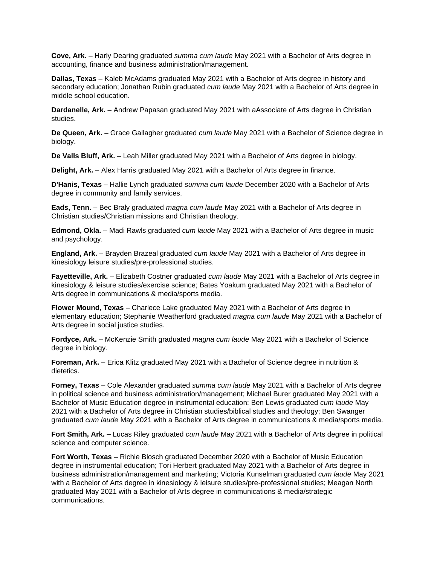**Cove, Ark.** – Harly Dearing graduated *summa cum laude* May 2021 with a Bachelor of Arts degree in accounting, finance and business administration/management.

**Dallas, Texas** – Kaleb McAdams graduated May 2021 with a Bachelor of Arts degree in history and secondary education; Jonathan Rubin graduated *cum laude* May 2021 with a Bachelor of Arts degree in middle school education.

**Dardanelle, Ark.** – Andrew Papasan graduated May 2021 with aAssociate of Arts degree in Christian studies.

**De Queen, Ark.** – Grace Gallagher graduated *cum laude* May 2021 with a Bachelor of Science degree in biology.

**De Valls Bluff, Ark.** – Leah Miller graduated May 2021 with a Bachelor of Arts degree in biology.

**Delight, Ark.** – Alex Harris graduated May 2021 with a Bachelor of Arts degree in finance.

**D'Hanis, Texas** – Hallie Lynch graduated *summa cum laude* December 2020 with a Bachelor of Arts degree in community and family services.

**Eads, Tenn.** – Bec Braly graduated *magna cum laude* May 2021 with a Bachelor of Arts degree in Christian studies/Christian missions and Christian theology.

**Edmond, Okla.** – Madi Rawls graduated *cum laude* May 2021 with a Bachelor of Arts degree in music and psychology.

**England, Ark.** – Brayden Brazeal graduated *cum laude* May 2021 with a Bachelor of Arts degree in kinesiology leisure studies/pre-professional studies.

**Fayetteville, Ark.** – Elizabeth Costner graduated *cum laude* May 2021 with a Bachelor of Arts degree in kinesiology & leisure studies/exercise science; Bates Yoakum graduated May 2021 with a Bachelor of Arts degree in communications & media/sports media.

**Flower Mound, Texas** – Charlece Lake graduated May 2021 with a Bachelor of Arts degree in elementary education; Stephanie Weatherford graduated *magna cum laude* May 2021 with a Bachelor of Arts degree in social justice studies.

**Fordyce, Ark.** – McKenzie Smith graduated *magna cum laude* May 2021 with a Bachelor of Science degree in biology.

**Foreman, Ark.** – Erica Klitz graduated May 2021 with a Bachelor of Science degree in nutrition & dietetics.

**Forney, Texas** – Cole Alexander graduated *summa cum laude* May 2021 with a Bachelor of Arts degree in political science and business administration/management; Michael Burer graduated May 2021 with a Bachelor of Music Education degree in instrumental education; Ben Lewis graduated *cum laude* May 2021 with a Bachelor of Arts degree in Christian studies/biblical studies and theology; Ben Swanger graduated *cum laude* May 2021 with a Bachelor of Arts degree in communications & media/sports media.

**Fort Smith, Ark. –** Lucas Riley graduated *cum laude* May 2021 with a Bachelor of Arts degree in political science and computer science.

**Fort Worth, Texas** – Richie Blosch graduated December 2020 with a Bachelor of Music Education degree in instrumental education; Tori Herbert graduated May 2021 with a Bachelor of Arts degree in business administration/management and marketing; Victoria Kunselman graduated *cum laude* May 2021 with a Bachelor of Arts degree in kinesiology & leisure studies/pre-professional studies; Meagan North graduated May 2021 with a Bachelor of Arts degree in communications & media/strategic communications.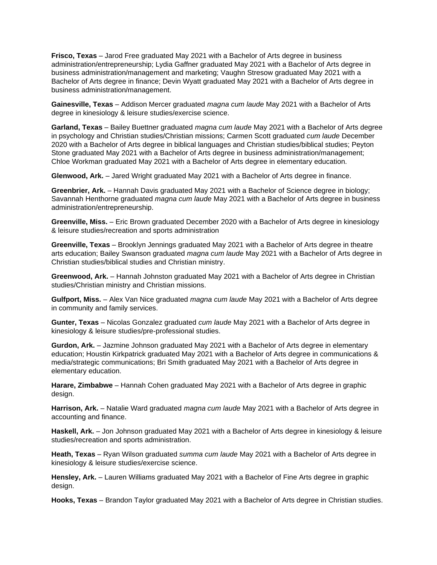**Frisco, Texas** – Jarod Free graduated May 2021 with a Bachelor of Arts degree in business administration/entrepreneurship; Lydia Gaffner graduated May 2021 with a Bachelor of Arts degree in business administration/management and marketing; Vaughn Stresow graduated May 2021 with a Bachelor of Arts degree in finance; Devin Wyatt graduated May 2021 with a Bachelor of Arts degree in business administration/management.

**Gainesville, Texas** – Addison Mercer graduated *magna cum laude* May 2021 with a Bachelor of Arts degree in kinesiology & leisure studies/exercise science.

**Garland, Texas** – Bailey Buettner graduated *magna cum laude* May 2021 with a Bachelor of Arts degree in psychology and Christian studies/Christian missions; Carmen Scott graduated *cum laude* December 2020 with a Bachelor of Arts degree in biblical languages and Christian studies/biblical studies; Peyton Stone graduated May 2021 with a Bachelor of Arts degree in business administration/management; Chloe Workman graduated May 2021 with a Bachelor of Arts degree in elementary education.

**Glenwood, Ark.** – Jared Wright graduated May 2021 with a Bachelor of Arts degree in finance.

**Greenbrier, Ark.** – Hannah Davis graduated May 2021 with a Bachelor of Science degree in biology; Savannah Henthorne graduated *magna cum laude* May 2021 with a Bachelor of Arts degree in business administration/entrepreneurship.

**Greenville, Miss.** – Eric Brown graduated December 2020 with a Bachelor of Arts degree in kinesiology & leisure studies/recreation and sports administration

**Greenville, Texas** – Brooklyn Jennings graduated May 2021 with a Bachelor of Arts degree in theatre arts education; Bailey Swanson graduated *magna cum laude* May 2021 with a Bachelor of Arts degree in Christian studies/biblical studies and Christian ministry.

**Greenwood, Ark.** – Hannah Johnston graduated May 2021 with a Bachelor of Arts degree in Christian studies/Christian ministry and Christian missions.

**Gulfport, Miss.** – Alex Van Nice graduated *magna cum laude* May 2021 with a Bachelor of Arts degree in community and family services.

**Gunter, Texas** – Nicolas Gonzalez graduated *cum laude* May 2021 with a Bachelor of Arts degree in kinesiology & leisure studies/pre-professional studies.

**Gurdon, Ark.** – Jazmine Johnson graduated May 2021 with a Bachelor of Arts degree in elementary education; Houstin Kirkpatrick graduated May 2021 with a Bachelor of Arts degree in communications & media/strategic communications; Bri Smith graduated May 2021 with a Bachelor of Arts degree in elementary education.

**Harare, Zimbabwe** – Hannah Cohen graduated May 2021 with a Bachelor of Arts degree in graphic design.

**Harrison, Ark.** – Natalie Ward graduated *magna cum laude* May 2021 with a Bachelor of Arts degree in accounting and finance.

**Haskell, Ark.** – Jon Johnson graduated May 2021 with a Bachelor of Arts degree in kinesiology & leisure studies/recreation and sports administration.

**Heath, Texas** – Ryan Wilson graduated *summa cum laude* May 2021 with a Bachelor of Arts degree in kinesiology & leisure studies/exercise science.

**Hensley, Ark.** – Lauren Williams graduated May 2021 with a Bachelor of Fine Arts degree in graphic design.

**Hooks, Texas** – Brandon Taylor graduated May 2021 with a Bachelor of Arts degree in Christian studies.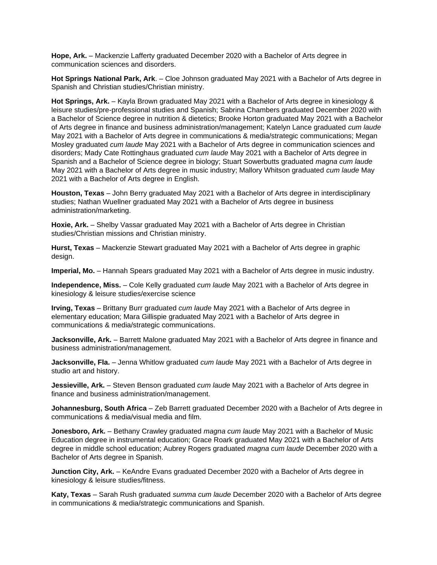**Hope, Ark.** – Mackenzie Lafferty graduated December 2020 with a Bachelor of Arts degree in communication sciences and disorders.

**Hot Springs National Park, Ark**. – Cloe Johnson graduated May 2021 with a Bachelor of Arts degree in Spanish and Christian studies/Christian ministry.

**Hot Springs, Ark.** – Kayla Brown graduated May 2021 with a Bachelor of Arts degree in kinesiology & leisure studies/pre-professional studies and Spanish; Sabrina Chambers graduated December 2020 with a Bachelor of Science degree in nutrition & dietetics; Brooke Horton graduated May 2021 with a Bachelor of Arts degree in finance and business administration/management; Katelyn Lance graduated *cum laude* May 2021 with a Bachelor of Arts degree in communications & media/strategic communications; Megan Mosley graduated *cum laude* May 2021 with a Bachelor of Arts degree in communication sciences and disorders; Mady Cate Rottinghaus graduated *cum laude* May 2021 with a Bachelor of Arts degree in Spanish and a Bachelor of Science degree in biology; Stuart Sowerbutts graduated *magna cum laude* May 2021 with a Bachelor of Arts degree in music industry; Mallory Whitson graduated *cum laude* May 2021 with a Bachelor of Arts degree in English.

**Houston, Texas** – John Berry graduated May 2021 with a Bachelor of Arts degree in interdisciplinary studies; Nathan Wuellner graduated May 2021 with a Bachelor of Arts degree in business administration/marketing.

**Hoxie, Ark.** – Shelby Vassar graduated May 2021 with a Bachelor of Arts degree in Christian studies/Christian missions and Christian ministry.

**Hurst, Texas** – Mackenzie Stewart graduated May 2021 with a Bachelor of Arts degree in graphic design.

**Imperial, Mo.** – Hannah Spears graduated May 2021 with a Bachelor of Arts degree in music industry.

**Independence, Miss.** – Cole Kelly graduated *cum laude* May 2021 with a Bachelor of Arts degree in kinesiology & leisure studies/exercise science

**Irving, Texas** – Brittany Burr graduated *cum laude* May 2021 with a Bachelor of Arts degree in elementary education; Mara Gillispie graduated May 2021 with a Bachelor of Arts degree in communications & media/strategic communications.

**Jacksonville, Ark.** – Barrett Malone graduated May 2021 with a Bachelor of Arts degree in finance and business administration/management.

**Jacksonville, Fla.** – Jenna Whitlow graduated *cum laude* May 2021 with a Bachelor of Arts degree in studio art and history.

**Jessieville, Ark.** – Steven Benson graduated *cum laude* May 2021 with a Bachelor of Arts degree in finance and business administration/management.

**Johannesburg, South Africa** – Zeb Barrett graduated December 2020 with a Bachelor of Arts degree in communications & media/visual media and film.

**Jonesboro, Ark.** – Bethany Crawley graduated *magna cum laude* May 2021 with a Bachelor of Music Education degree in instrumental education; Grace Roark graduated May 2021 with a Bachelor of Arts degree in middle school education; Aubrey Rogers graduated *magna cum laude* December 2020 with a Bachelor of Arts degree in Spanish.

**Junction City, Ark.** – KeAndre Evans graduated December 2020 with a Bachelor of Arts degree in kinesiology & leisure studies/fitness.

**Katy, Texas** – Sarah Rush graduated *summa cum laude* December 2020 with a Bachelor of Arts degree in communications & media/strategic communications and Spanish.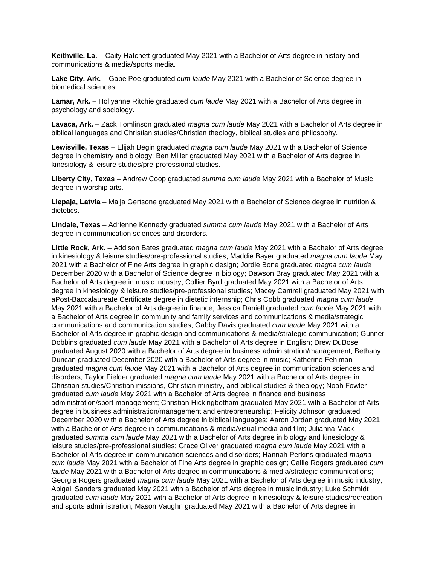**Keithville, La.** – Caity Hatchett graduated May 2021 with a Bachelor of Arts degree in history and communications & media/sports media.

**Lake City, Ark.** – Gabe Poe graduated *cum laude* May 2021 with a Bachelor of Science degree in biomedical sciences.

**Lamar, Ark.** – Hollyanne Ritchie graduated *cum laude* May 2021 with a Bachelor of Arts degree in psychology and sociology.

**Lavaca, Ark.** – Zack Tomlinson graduated *magna cum laude* May 2021 with a Bachelor of Arts degree in biblical languages and Christian studies/Christian theology, biblical studies and philosophy.

**Lewisville, Texas** – Elijah Begin graduated *magna cum laude* May 2021 with a Bachelor of Science degree in chemistry and biology; Ben Miller graduated May 2021 with a Bachelor of Arts degree in kinesiology & leisure studies/pre-professional studies.

**Liberty City, Texas** – Andrew Coop graduated *summa cum laude* May 2021 with a Bachelor of Music degree in worship arts.

**Liepaja, Latvia** – Maija Gertsone graduated May 2021 with a Bachelor of Science degree in nutrition & dietetics.

**Lindale, Texas** – Adrienne Kennedy graduated *summa cum laude* May 2021 with a Bachelor of Arts degree in communication sciences and disorders.

**Little Rock, Ark.** – Addison Bates graduated *magna cum laude* May 2021 with a Bachelor of Arts degree in kinesiology & leisure studies/pre-professional studies; Maddie Bayer graduated *magna cum laude* May 2021 with a Bachelor of Fine Arts degree in graphic design; Jordie Bone graduated *magna cum laude* December 2020 with a Bachelor of Science degree in biology; Dawson Bray graduated May 2021 with a Bachelor of Arts degree in music industry; Collier Byrd graduated May 2021 with a Bachelor of Arts degree in kinesiology & leisure studies/pre-professional studies; Macey Cantrell graduated May 2021 with aPost-Baccalaureate Certificate degree in dietetic internship; Chris Cobb graduated *magna cum laude* May 2021 with a Bachelor of Arts degree in finance; Jessica Daniell graduated *cum laude* May 2021 with a Bachelor of Arts degree in community and family services and communications & media/strategic communications and communication studies; Gabby Davis graduated *cum laude* May 2021 with a Bachelor of Arts degree in graphic design and communications & media/strategic communication; Gunner Dobbins graduated *cum laude* May 2021 with a Bachelor of Arts degree in English; Drew DuBose graduated August 2020 with a Bachelor of Arts degree in business administration/management; Bethany Duncan graduated December 2020 with a Bachelor of Arts degree in music; Katherine Fehlman graduated *magna cum laude* May 2021 with a Bachelor of Arts degree in communication sciences and disorders; Taylor Fielder graduated *magna cum laude* May 2021 with a Bachelor of Arts degree in Christian studies/Christian missions, Christian ministry, and biblical studies & theology; Noah Fowler graduated *cum laude* May 2021 with a Bachelor of Arts degree in finance and business administration/sport management; Christian Hickingbotham graduated May 2021 with a Bachelor of Arts degree in business administration/management and entrepreneurship; Felicity Johnson graduated December 2020 with a Bachelor of Arts degree in biblical languages; Aaron Jordan graduated May 2021 with a Bachelor of Arts degree in communications & media/visual media and film; Julianna Mack graduated *summa cum laude* May 2021 with a Bachelor of Arts degree in biology and kinesiology & leisure studies/pre-professional studies; Grace Oliver graduated *magna cum laude* May 2021 with a Bachelor of Arts degree in communication sciences and disorders; Hannah Perkins graduated *magna cum laude* May 2021 with a Bachelor of Fine Arts degree in graphic design; Callie Rogers graduated *cum laude* May 2021 with a Bachelor of Arts degree in communications & media/strategic communications; Georgia Rogers graduated *magna cum laude* May 2021 with a Bachelor of Arts degree in music industry; Abigail Sanders graduated May 2021 with a Bachelor of Arts degree in music industry; Luke Schmidt graduated *cum laude* May 2021 with a Bachelor of Arts degree in kinesiology & leisure studies/recreation and sports administration; Mason Vaughn graduated May 2021 with a Bachelor of Arts degree in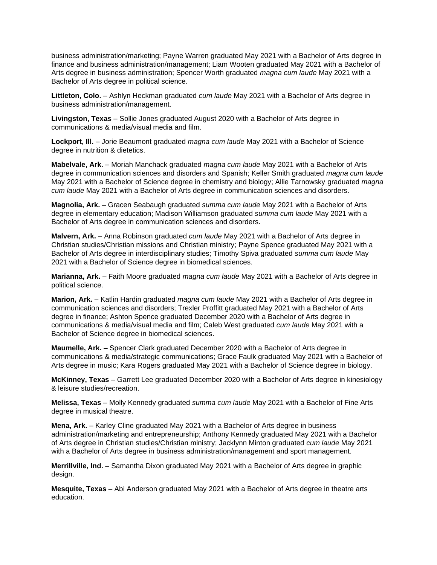business administration/marketing; Payne Warren graduated May 2021 with a Bachelor of Arts degree in finance and business administration/management; Liam Wooten graduated May 2021 with a Bachelor of Arts degree in business administration; Spencer Worth graduated *magna cum laude* May 2021 with a Bachelor of Arts degree in political science.

**Littleton, Colo.** – Ashlyn Heckman graduated *cum laude* May 2021 with a Bachelor of Arts degree in business administration/management.

**Livingston, Texas** – Sollie Jones graduated August 2020 with a Bachelor of Arts degree in communications & media/visual media and film.

**Lockport, Ill.** – Jorie Beaumont graduated *magna cum laude* May 2021 with a Bachelor of Science degree in nutrition & dietetics.

**Mabelvale, Ark.** – Moriah Manchack graduated *magna cum laude* May 2021 with a Bachelor of Arts degree in communication sciences and disorders and Spanish; Keller Smith graduated *magna cum laude* May 2021 with a Bachelor of Science degree in chemistry and biology; Allie Tarnowsky graduated *magna cum laude* May 2021 with a Bachelor of Arts degree in communication sciences and disorders.

**Magnolia, Ark.** – Gracen Seabaugh graduated *summa cum laude* May 2021 with a Bachelor of Arts degree in elementary education; Madison Williamson graduated *summa cum laude* May 2021 with a Bachelor of Arts degree in communication sciences and disorders.

**Malvern, Ark.** – Anna Robinson graduated *cum laude* May 2021 with a Bachelor of Arts degree in Christian studies/Christian missions and Christian ministry; Payne Spence graduated May 2021 with a Bachelor of Arts degree in interdisciplinary studies; Timothy Spiva graduated *summa cum laude* May 2021 with a Bachelor of Science degree in biomedical sciences.

**Marianna, Ark.** – Faith Moore graduated *magna cum laude* May 2021 with a Bachelor of Arts degree in political science.

**Marion, Ark.** – Katlin Hardin graduated *magna cum laude* May 2021 with a Bachelor of Arts degree in communication sciences and disorders; Trexler Proffitt graduated May 2021 with a Bachelor of Arts degree in finance; Ashton Spence graduated December 2020 with a Bachelor of Arts degree in communications & media/visual media and film; Caleb West graduated *cum laude* May 2021 with a Bachelor of Science degree in biomedical sciences.

**Maumelle, Ark. –** Spencer Clark graduated December 2020 with a Bachelor of Arts degree in communications & media/strategic communications; Grace Faulk graduated May 2021 with a Bachelor of Arts degree in music; Kara Rogers graduated May 2021 with a Bachelor of Science degree in biology.

**McKinney, Texas** – Garrett Lee graduated December 2020 with a Bachelor of Arts degree in kinesiology & leisure studies/recreation.

**Melissa, Texas** – Molly Kennedy graduated *summa cum laude* May 2021 with a Bachelor of Fine Arts degree in musical theatre.

**Mena, Ark.** – Karley Cline graduated May 2021 with a Bachelor of Arts degree in business administration/marketing and entrepreneurship; Anthony Kennedy graduated May 2021 with a Bachelor of Arts degree in Christian studies/Christian ministry; Jacklynn Minton graduated *cum laude* May 2021 with a Bachelor of Arts degree in business administration/management and sport management.

**Merrillville, Ind.** – Samantha Dixon graduated May 2021 with a Bachelor of Arts degree in graphic design.

**Mesquite, Texas** – Abi Anderson graduated May 2021 with a Bachelor of Arts degree in theatre arts education.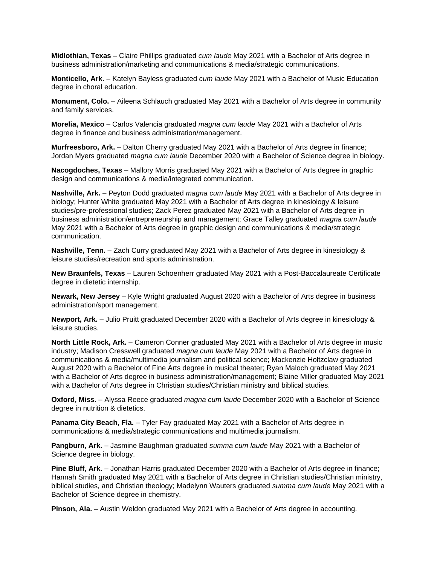**Midlothian, Texas** – Claire Phillips graduated *cum laude* May 2021 with a Bachelor of Arts degree in business administration/marketing and communications & media/strategic communications.

**Monticello, Ark.** – Katelyn Bayless graduated *cum laude* May 2021 with a Bachelor of Music Education degree in choral education.

**Monument, Colo.** – Aileena Schlauch graduated May 2021 with a Bachelor of Arts degree in community and family services.

**Morelia, Mexico** – Carlos Valencia graduated *magna cum laude* May 2021 with a Bachelor of Arts degree in finance and business administration/management.

**Murfreesboro, Ark.** – Dalton Cherry graduated May 2021 with a Bachelor of Arts degree in finance; Jordan Myers graduated *magna cum laude* December 2020 with a Bachelor of Science degree in biology.

**Nacogdoches, Texas** – Mallory Morris graduated May 2021 with a Bachelor of Arts degree in graphic design and communications & media/integrated communication.

**Nashville, Ark.** – Peyton Dodd graduated *magna cum laude* May 2021 with a Bachelor of Arts degree in biology; Hunter White graduated May 2021 with a Bachelor of Arts degree in kinesiology & leisure studies/pre-professional studies; Zack Perez graduated May 2021 with a Bachelor of Arts degree in business administration/entrepreneurship and management; Grace Talley graduated *magna cum laude* May 2021 with a Bachelor of Arts degree in graphic design and communications & media/strategic communication.

**Nashville, Tenn.** – Zach Curry graduated May 2021 with a Bachelor of Arts degree in kinesiology & leisure studies/recreation and sports administration.

**New Braunfels, Texas** – Lauren Schoenherr graduated May 2021 with a Post-Baccalaureate Certificate degree in dietetic internship.

**Newark, New Jersey** – Kyle Wright graduated August 2020 with a Bachelor of Arts degree in business administration/sport management.

**Newport, Ark.** – Julio Pruitt graduated December 2020 with a Bachelor of Arts degree in kinesiology & leisure studies.

**North Little Rock, Ark.** – Cameron Conner graduated May 2021 with a Bachelor of Arts degree in music industry; Madison Cresswell graduated *magna cum laude* May 2021 with a Bachelor of Arts degree in communications & media/multimedia journalism and political science; Mackenzie Holtzclaw graduated August 2020 with a Bachelor of Fine Arts degree in musical theater; Ryan Maloch graduated May 2021 with a Bachelor of Arts degree in business administration/management; Blaine Miller graduated May 2021 with a Bachelor of Arts degree in Christian studies/Christian ministry and biblical studies.

**Oxford, Miss.** – Alyssa Reece graduated *magna cum laude* December 2020 with a Bachelor of Science degree in nutrition & dietetics.

**Panama City Beach, Fla.** – Tyler Fay graduated May 2021 with a Bachelor of Arts degree in communications & media/strategic communications and multimedia journalism.

**Pangburn, Ark.** – Jasmine Baughman graduated *summa cum laude* May 2021 with a Bachelor of Science degree in biology.

**Pine Bluff, Ark.** – Jonathan Harris graduated December 2020 with a Bachelor of Arts degree in finance; Hannah Smith graduated May 2021 with a Bachelor of Arts degree in Christian studies/Christian ministry, biblical studies, and Christian theology; Madelynn Wauters graduated *summa cum laude* May 2021 with a Bachelor of Science degree in chemistry.

**Pinson, Ala.** – Austin Weldon graduated May 2021 with a Bachelor of Arts degree in accounting.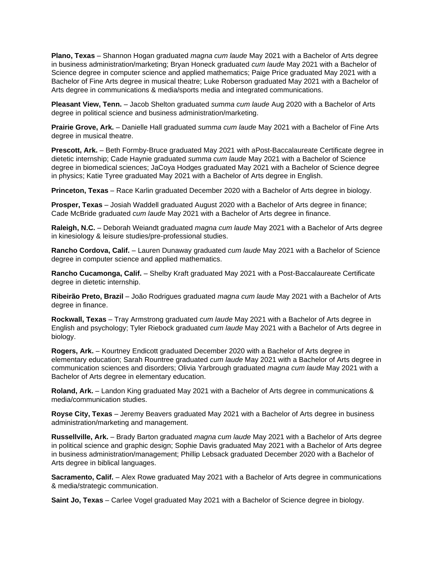**Plano, Texas** – Shannon Hogan graduated *magna cum laude* May 2021 with a Bachelor of Arts degree in business administration/marketing; Bryan Honeck graduated *cum laude* May 2021 with a Bachelor of Science degree in computer science and applied mathematics; Paige Price graduated May 2021 with a Bachelor of Fine Arts degree in musical theatre; Luke Roberson graduated May 2021 with a Bachelor of Arts degree in communications & media/sports media and integrated communications.

**Pleasant View, Tenn.** – Jacob Shelton graduated *summa cum laude* Aug 2020 with a Bachelor of Arts degree in political science and business administration/marketing.

**Prairie Grove, Ark.** – Danielle Hall graduated *summa cum laude* May 2021 with a Bachelor of Fine Arts degree in musical theatre.

**Prescott, Ark.** – Beth Formby-Bruce graduated May 2021 with aPost-Baccalaureate Certificate degree in dietetic internship; Cade Haynie graduated *summa cum laude* May 2021 with a Bachelor of Science degree in biomedical sciences; JaCoya Hodges graduated May 2021 with a Bachelor of Science degree in physics; Katie Tyree graduated May 2021 with a Bachelor of Arts degree in English.

**Princeton, Texas** – Race Karlin graduated December 2020 with a Bachelor of Arts degree in biology.

**Prosper, Texas** – Josiah Waddell graduated August 2020 with a Bachelor of Arts degree in finance; Cade McBride graduated *cum laude* May 2021 with a Bachelor of Arts degree in finance.

**Raleigh, N.C.** – Deborah Weiandt graduated *magna cum laude* May 2021 with a Bachelor of Arts degree in kinesiology & leisure studies/pre-professional studies.

**Rancho Cordova, Calif.** – Lauren Dunaway graduated *cum laude* May 2021 with a Bachelor of Science degree in computer science and applied mathematics.

**Rancho Cucamonga, Calif.** – Shelby Kraft graduated May 2021 with a Post-Baccalaureate Certificate degree in dietetic internship.

**Ribeirão Preto, Brazil** – João Rodrigues graduated *magna cum laude* May 2021 with a Bachelor of Arts degree in finance.

**Rockwall, Texas** – Tray Armstrong graduated *cum laude* May 2021 with a Bachelor of Arts degree in English and psychology; Tyler Riebock graduated *cum laude* May 2021 with a Bachelor of Arts degree in biology.

**Rogers, Ark.** – Kourtney Endicott graduated December 2020 with a Bachelor of Arts degree in elementary education; Sarah Rountree graduated *cum laude* May 2021 with a Bachelor of Arts degree in communication sciences and disorders; Olivia Yarbrough graduated *magna cum laude* May 2021 with a Bachelor of Arts degree in elementary education.

**Roland, Ark.** – Landon King graduated May 2021 with a Bachelor of Arts degree in communications & media/communication studies.

**Royse City, Texas** – Jeremy Beavers graduated May 2021 with a Bachelor of Arts degree in business administration/marketing and management.

**Russellville, Ark.** – Brady Barton graduated *magna cum laude* May 2021 with a Bachelor of Arts degree in political science and graphic design; Sophie Davis graduated May 2021 with a Bachelor of Arts degree in business administration/management; Phillip Lebsack graduated December 2020 with a Bachelor of Arts degree in biblical languages.

**Sacramento, Calif.** – Alex Rowe graduated May 2021 with a Bachelor of Arts degree in communications & media/strategic communication.

**Saint Jo, Texas** – Carlee Vogel graduated May 2021 with a Bachelor of Science degree in biology.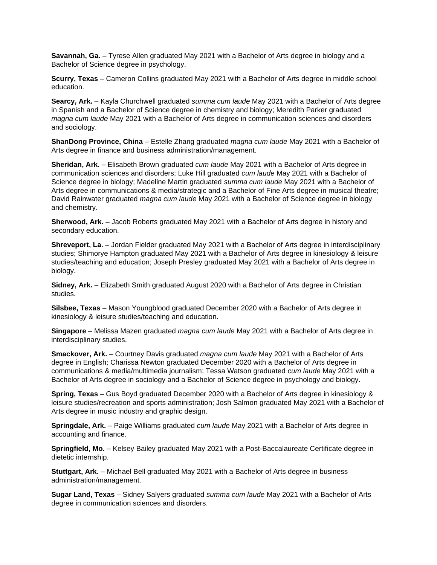**Savannah, Ga.** – Tyrese Allen graduated May 2021 with a Bachelor of Arts degree in biology and a Bachelor of Science degree in psychology.

**Scurry, Texas** – Cameron Collins graduated May 2021 with a Bachelor of Arts degree in middle school education.

**Searcy, Ark.** – Kayla Churchwell graduated *summa cum laude* May 2021 with a Bachelor of Arts degree in Spanish and a Bachelor of Science degree in chemistry and biology; Meredith Parker graduated *magna cum laude* May 2021 with a Bachelor of Arts degree in communication sciences and disorders and sociology.

**ShanDong Province, China** – Estelle Zhang graduated *magna cum laude* May 2021 with a Bachelor of Arts degree in finance and business administration/management.

**Sheridan, Ark.** – Elisabeth Brown graduated *cum laude* May 2021 with a Bachelor of Arts degree in communication sciences and disorders; Luke Hill graduated *cum laude* May 2021 with a Bachelor of Science degree in biology; Madeline Martin graduated *summa cum laude* May 2021 with a Bachelor of Arts degree in communications & media/strategic and a Bachelor of Fine Arts degree in musical theatre; David Rainwater graduated *magna cum laude* May 2021 with a Bachelor of Science degree in biology and chemistry.

**Sherwood, Ark.** – Jacob Roberts graduated May 2021 with a Bachelor of Arts degree in history and secondary education.

**Shreveport, La.** – Jordan Fielder graduated May 2021 with a Bachelor of Arts degree in interdisciplinary studies; Shimorye Hampton graduated May 2021 with a Bachelor of Arts degree in kinesiology & leisure studies/teaching and education; Joseph Presley graduated May 2021 with a Bachelor of Arts degree in biology.

**Sidney, Ark.** – Elizabeth Smith graduated August 2020 with a Bachelor of Arts degree in Christian studies.

**Silsbee, Texas** – Mason Youngblood graduated December 2020 with a Bachelor of Arts degree in kinesiology & leisure studies/teaching and education.

**Singapore** – Melissa Mazen graduated *magna cum laude* May 2021 with a Bachelor of Arts degree in interdisciplinary studies.

**Smackover, Ark.** – Courtney Davis graduated *magna cum laude* May 2021 with a Bachelor of Arts degree in English; Charissa Newton graduated December 2020 with a Bachelor of Arts degree in communications & media/multimedia journalism; Tessa Watson graduated *cum laude* May 2021 with a Bachelor of Arts degree in sociology and a Bachelor of Science degree in psychology and biology.

**Spring, Texas** – Gus Boyd graduated December 2020 with a Bachelor of Arts degree in kinesiology & leisure studies/recreation and sports administration; Josh Salmon graduated May 2021 with a Bachelor of Arts degree in music industry and graphic design.

**Springdale, Ark.** – Paige Williams graduated *cum laude* May 2021 with a Bachelor of Arts degree in accounting and finance.

**Springfield, Mo.** – Kelsey Bailey graduated May 2021 with a Post-Baccalaureate Certificate degree in dietetic internship.

**Stuttgart, Ark.** – Michael Bell graduated May 2021 with a Bachelor of Arts degree in business administration/management.

**Sugar Land, Texas** – Sidney Salyers graduated *summa cum laude* May 2021 with a Bachelor of Arts degree in communication sciences and disorders.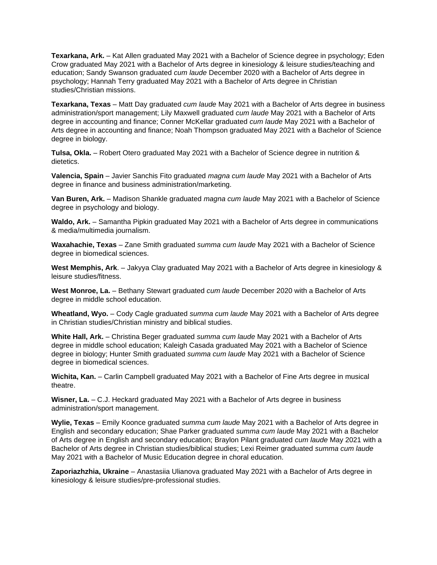**Texarkana, Ark.** – Kat Allen graduated May 2021 with a Bachelor of Science degree in psychology; Eden Crow graduated May 2021 with a Bachelor of Arts degree in kinesiology & leisure studies/teaching and education; Sandy Swanson graduated *cum laude* December 2020 with a Bachelor of Arts degree in psychology; Hannah Terry graduated May 2021 with a Bachelor of Arts degree in Christian studies/Christian missions.

**Texarkana, Texas** – Matt Day graduated *cum laude* May 2021 with a Bachelor of Arts degree in business administration/sport management; Lily Maxwell graduated *cum laude* May 2021 with a Bachelor of Arts degree in accounting and finance; Conner McKellar graduated *cum laude* May 2021 with a Bachelor of Arts degree in accounting and finance; Noah Thompson graduated May 2021 with a Bachelor of Science degree in biology.

**Tulsa, Okla.** – Robert Otero graduated May 2021 with a Bachelor of Science degree in nutrition & dietetics.

**Valencia, Spain** – Javier Sanchis Fito graduated *magna cum laude* May 2021 with a Bachelor of Arts degree in finance and business administration/marketing.

**Van Buren, Ark.** – Madison Shankle graduated *magna cum laude* May 2021 with a Bachelor of Science degree in psychology and biology.

**Waldo, Ark.** – Samantha Pipkin graduated May 2021 with a Bachelor of Arts degree in communications & media/multimedia journalism.

**Waxahachie, Texas** – Zane Smith graduated *summa cum laude* May 2021 with a Bachelor of Science degree in biomedical sciences.

**West Memphis, Ark**. – Jakyya Clay graduated May 2021 with a Bachelor of Arts degree in kinesiology & leisure studies/fitness.

**West Monroe, La.** – Bethany Stewart graduated *cum laude* December 2020 with a Bachelor of Arts degree in middle school education.

**Wheatland, Wyo.** – Cody Cagle graduated *summa cum laude* May 2021 with a Bachelor of Arts degree in Christian studies/Christian ministry and biblical studies.

**White Hall, Ark.** – Christina Beger graduated *summa cum laude* May 2021 with a Bachelor of Arts degree in middle school education; Kaleigh Casada graduated May 2021 with a Bachelor of Science degree in biology; Hunter Smith graduated *summa cum laude* May 2021 with a Bachelor of Science degree in biomedical sciences.

**Wichita, Kan.** – Carlin Campbell graduated May 2021 with a Bachelor of Fine Arts degree in musical theatre.

**Wisner, La.** – C.J. Heckard graduated May 2021 with a Bachelor of Arts degree in business administration/sport management.

**Wylie, Texas** – Emily Koonce graduated *summa cum laude* May 2021 with a Bachelor of Arts degree in English and secondary education; Shae Parker graduated *summa cum laude* May 2021 with a Bachelor of Arts degree in English and secondary education; Braylon Pilant graduated *cum laude* May 2021 with a Bachelor of Arts degree in Christian studies/biblical studies; Lexi Reimer graduated *summa cum laude* May 2021 with a Bachelor of Music Education degree in choral education.

**Zaporiazhzhia, Ukraine** – Anastasiia Ulianova graduated May 2021 with a Bachelor of Arts degree in kinesiology & leisure studies/pre-professional studies.